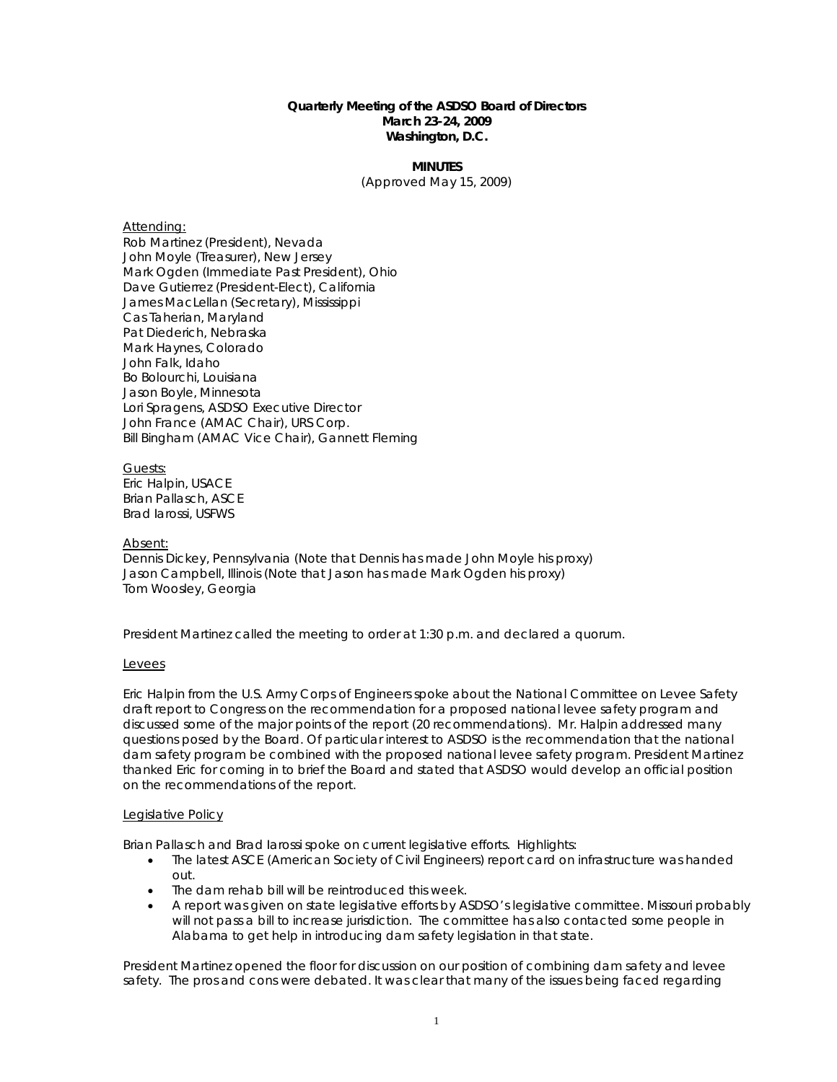## **Quarterly Meeting of the ASDSO Board of Directors March 23-24, 2009 Washington, D.C.**

**MINUTES** (Approved May 15, 2009)

#### Attending:

Rob Martinez (President), Nevada John Moyle (Treasurer), New Jersey Mark Ogden (Immediate Past President), Ohio Dave Gutierrez (President-Elect), California James MacLellan (Secretary), Mississippi Cas Taherian, Maryland Pat Diederich, Nebraska Mark Haynes, Colorado John Falk, Idaho Bo Bolourchi, Louisiana Jason Boyle, Minnesota Lori Spragens, ASDSO Executive Director John France (AMAC Chair), URS Corp. Bill Bingham (AMAC Vice Chair), Gannett Fleming

Guests: Eric Halpin, USACE Brian Pallasch, ASCE Brad Iarossi, USFWS

#### Absent:

Dennis Dickey, Pennsylvania (Note that Dennis has made John Moyle his proxy) Jason Campbell, Illinois (Note that Jason has made Mark Ogden his proxy) Tom Woosley, Georgia

President Martinez called the meeting to order at 1:30 p.m. and declared a quorum.

## Levees

Eric Halpin from the U.S. Army Corps of Engineers spoke about the National Committee on Levee Safety draft report to Congress on the recommendation for a proposed national levee safety program and discussed some of the major points of the report (20 recommendations). Mr. Halpin addressed many questions posed by the Board. Of particular interest to ASDSO is the recommendation that the national dam safety program be combined with the proposed national levee safety program. President Martinez thanked Eric for coming in to brief the Board and stated that ASDSO would develop an official position on the recommendations of the report.

## Legislative Policy

Brian Pallasch and Brad Iarossi spoke on current legislative efforts. Highlights:

- The latest ASCE (American Society of Civil Engineers) report card on infrastructure was handed out.
- The dam rehab bill will be reintroduced this week.
- A report was given on state legislative efforts by ASDSO's legislative committee. Missouri probably will not pass a bill to increase jurisdiction. The committee has also contacted some people in Alabama to get help in introducing dam safety legislation in that state.

President Martinez opened the floor for discussion on our position of combining dam safety and levee safety. The pros and cons were debated. It was clear that many of the issues being faced regarding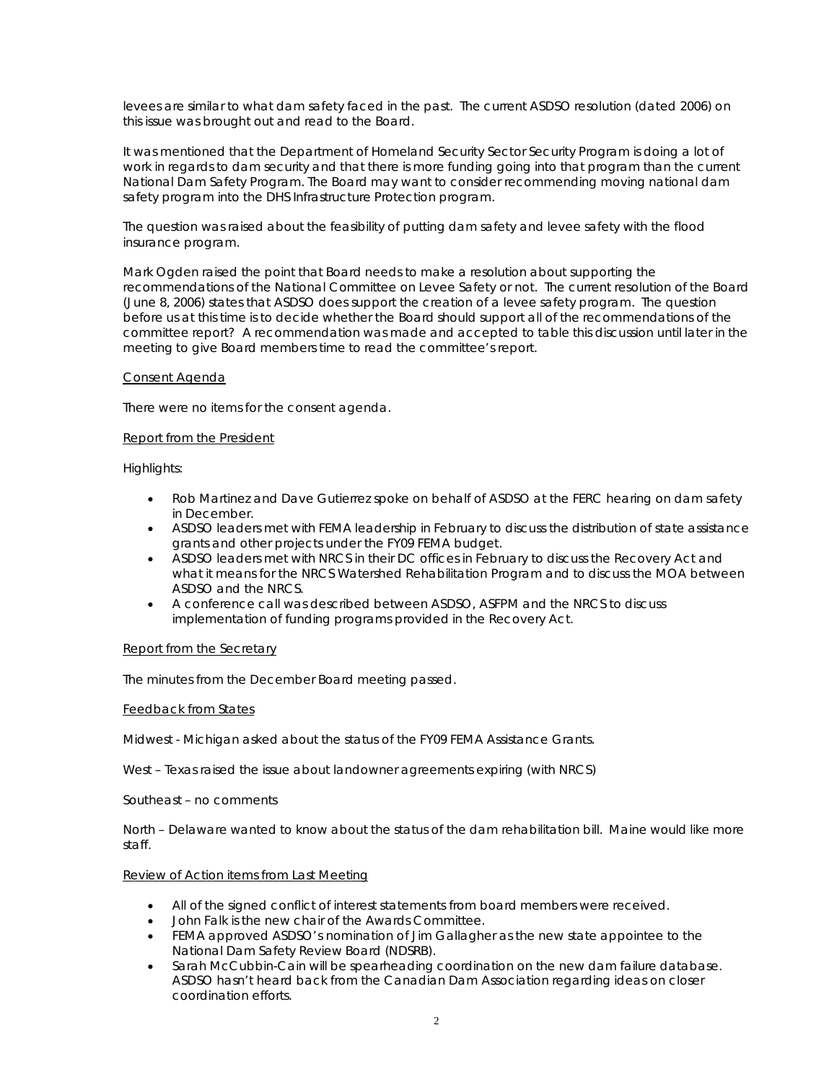levees are similar to what dam safety faced in the past. The current ASDSO resolution (dated 2006) on this issue was brought out and read to the Board.

It was mentioned that the Department of Homeland Security Sector Security Program is doing a lot of work in regards to dam security and that there is more funding going into that program than the current National Dam Safety Program. The Board may want to consider recommending moving national dam safety program into the DHS Infrastructure Protection program.

The question was raised about the feasibility of putting dam safety and levee safety with the flood insurance program.

Mark Ogden raised the point that Board needs to make a resolution about supporting the recommendations of the National Committee on Levee Safety or not. The current resolution of the Board (June 8, 2006) states that ASDSO does support the creation of a levee safety program. The question before us at this time is to decide whether the Board should support all of the recommendations of the committee report? A recommendation was made and accepted to table this discussion until later in the meeting to give Board members time to read the committee's report.

## Consent Agenda

There were no items for the consent agenda.

## Report from the President

Highlights:

- Rob Martinez and Dave Gutierrez spoke on behalf of ASDSO at the FERC hearing on dam safety in December.
- ASDSO leaders met with FEMA leadership in February to discuss the distribution of state assistance grants and other projects under the FY09 FEMA budget.
- ASDSO leaders met with NRCS in their DC offices in February to discuss the Recovery Act and what it means for the NRCS Watershed Rehabilitation Program and to discuss the MOA between ASDSO and the NRCS.
- A conference call was described between ASDSO, ASFPM and the NRCS to discuss implementation of funding programs provided in the Recovery Act.

## Report from the Secretary

The minutes from the December Board meeting passed.

## Feedback from States

Midwest - Michigan asked about the status of the FY09 FEMA Assistance Grants.

West – Texas raised the issue about landowner agreements expiring (with NRCS)

Southeast – no comments

North – Delaware wanted to know about the status of the dam rehabilitation bill. Maine would like more staff.

## Review of Action items from Last Meeting

- All of the signed conflict of interest statements from board members were received.
- John Falk is the new chair of the Awards Committee.
- FEMA approved ASDSO's nomination of Jim Gallagher as the new state appointee to the National Dam Safety Review Board (NDSRB).
- Sarah McCubbin-Cain will be spearheading coordination on the new dam failure database. ASDSO hasn't heard back from the Canadian Dam Association regarding ideas on closer coordination efforts.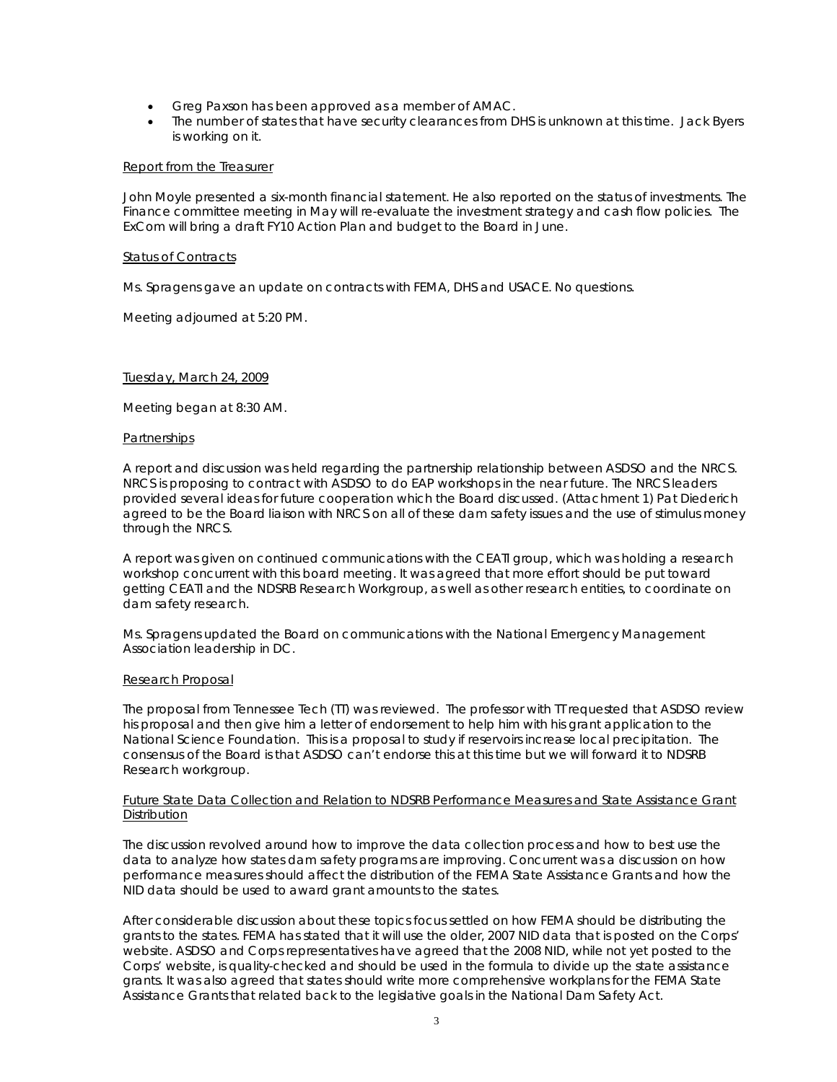- Greg Paxson has been approved as a member of AMAC.
- The number of states that have security clearances from DHS is unknown at this time. Jack Byers is working on it.

## Report from the Treasurer

John Moyle presented a six-month financial statement. He also reported on the status of investments. The Finance committee meeting in May will re-evaluate the investment strategy and cash flow policies. The ExCom will bring a draft FY10 Action Plan and budget to the Board in June.

#### Status of Contracts

Ms. Spragens gave an update on contracts with FEMA, DHS and USACE. No questions.

Meeting adjourned at 5:20 PM.

## Tuesday, March 24, 2009

Meeting began at 8:30 AM.

#### **Partnerships**

A report and discussion was held regarding the partnership relationship between ASDSO and the NRCS. NRCS is proposing to contract with ASDSO to do EAP workshops in the near future. The NRCS leaders provided several ideas for future cooperation which the Board discussed. (Attachment 1) Pat Diederich agreed to be the Board liaison with NRCS on all of these dam safety issues and the use of stimulus money through the NRCS.

A report was given on continued communications with the CEATI group, which was holding a research workshop concurrent with this board meeting. It was agreed that more effort should be put toward getting CEATI and the NDSRB Research Workgroup, as well as other research entities, to coordinate on dam safety research.

Ms. Spragens updated the Board on communications with the National Emergency Management Association leadership in DC.

## Research Proposal

The proposal from Tennessee Tech (TT) was reviewed. The professor with TT requested that ASDSO review his proposal and then give him a letter of endorsement to help him with his grant application to the National Science Foundation. This is a proposal to study if reservoirs increase local precipitation. The consensus of the Board is that ASDSO can't endorse this at this time but we will forward it to NDSRB Research workgroup.

## Future State Data Collection and Relation to NDSRB Performance Measures and State Assistance Grant **Distribution**

The discussion revolved around how to improve the data collection process and how to best use the data to analyze how states dam safety programs are improving. Concurrent was a discussion on how performance measures should affect the distribution of the FEMA State Assistance Grants and how the NID data should be used to award grant amounts to the states.

After considerable discussion about these topics focus settled on how FEMA should be distributing the grants to the states. FEMA has stated that it will use the older, 2007 NID data that is posted on the Corps' website. ASDSO and Corps representatives have agreed that the 2008 NID, while not yet posted to the Corps' website, is quality-checked and should be used in the formula to divide up the state assistance grants. It was also agreed that states should write more comprehensive workplans for the FEMA State Assistance Grants that related back to the legislative goals in the National Dam Safety Act.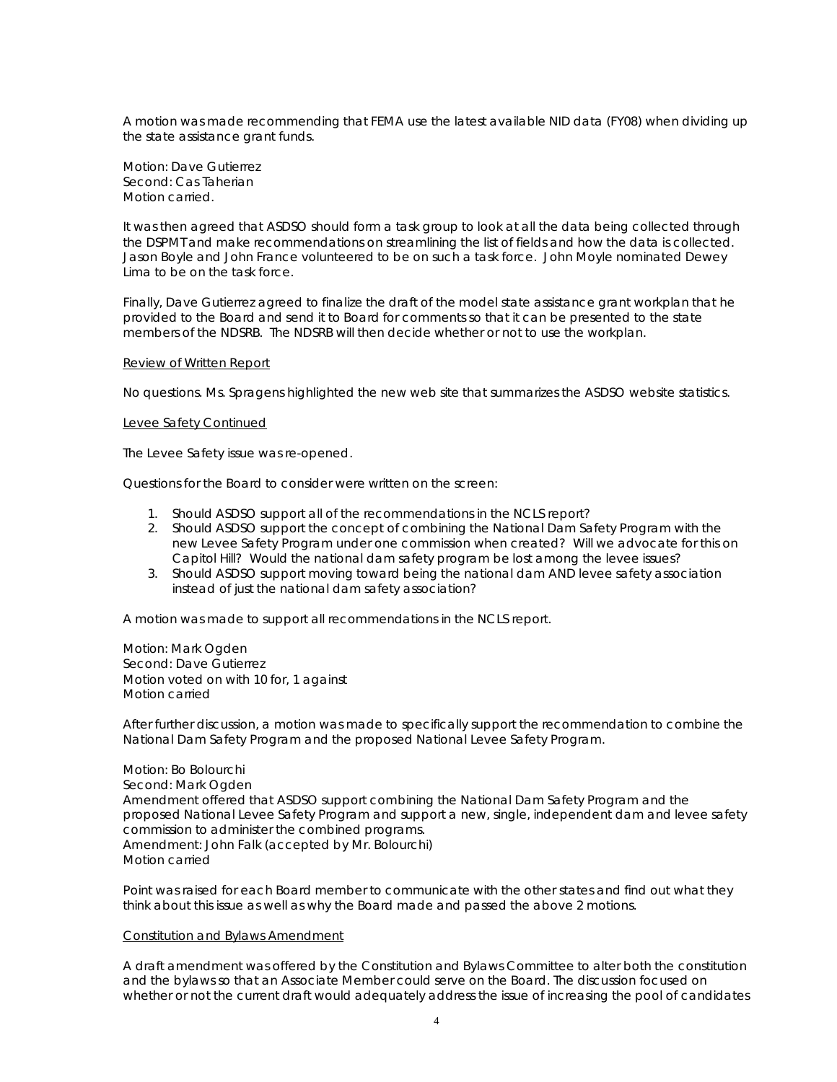A motion was made recommending that FEMA use the latest available NID data (FY08) when dividing up the state assistance grant funds.

Motion: Dave Gutierrez Second: Cas Taherian Motion carried.

It was then agreed that ASDSO should form a task group to look at all the data being collected through the DSPMT and make recommendations on streamlining the list of fields and how the data is collected. Jason Boyle and John France volunteered to be on such a task force. John Moyle nominated Dewey Lima to be on the task force.

Finally, Dave Gutierrez agreed to finalize the draft of the model state assistance grant workplan that he provided to the Board and send it to Board for comments so that it can be presented to the state members of the NDSRB. The NDSRB will then decide whether or not to use the workplan.

# Review of Written Report

No questions. Ms. Spragens highlighted the new web site that summarizes the ASDSO website statistics.

## Levee Safety Continued

The Levee Safety issue was re-opened.

Questions for the Board to consider were written on the screen:

- 1. Should ASDSO support all of the recommendations in the NCLS report?
- 2. Should ASDSO support the concept of combining the National Dam Safety Program with the new Levee Safety Program under one commission when created? Will we advocate for this on Capitol Hill? Would the national dam safety program be lost among the levee issues?
- 3. Should ASDSO support moving toward being the national dam AND levee safety association instead of just the national dam safety association?

A motion was made to support all recommendations in the NCLS report.

Motion: Mark Ogden Second: Dave Gutierrez Motion voted on with 10 for, 1 against Motion carried

After further discussion, a motion was made to specifically support the recommendation to combine the National Dam Safety Program and the proposed National Levee Safety Program.

Motion: Bo Bolourchi Second: Mark Ogden Amendment offered that ASDSO support combining the National Dam Safety Program and the proposed National Levee Safety Program and support a new, single, independent dam and levee safety commission to administer the combined programs. Amendment: John Falk (accepted by Mr. Bolourchi) Motion carried

Point was raised for each Board member to communicate with the other states and find out what they think about this issue as well as why the Board made and passed the above 2 motions.

## Constitution and Bylaws Amendment

A draft amendment was offered by the Constitution and Bylaws Committee to alter both the constitution and the bylaws so that an Associate Member could serve on the Board. The discussion focused on whether or not the current draft would adequately address the issue of increasing the pool of candidates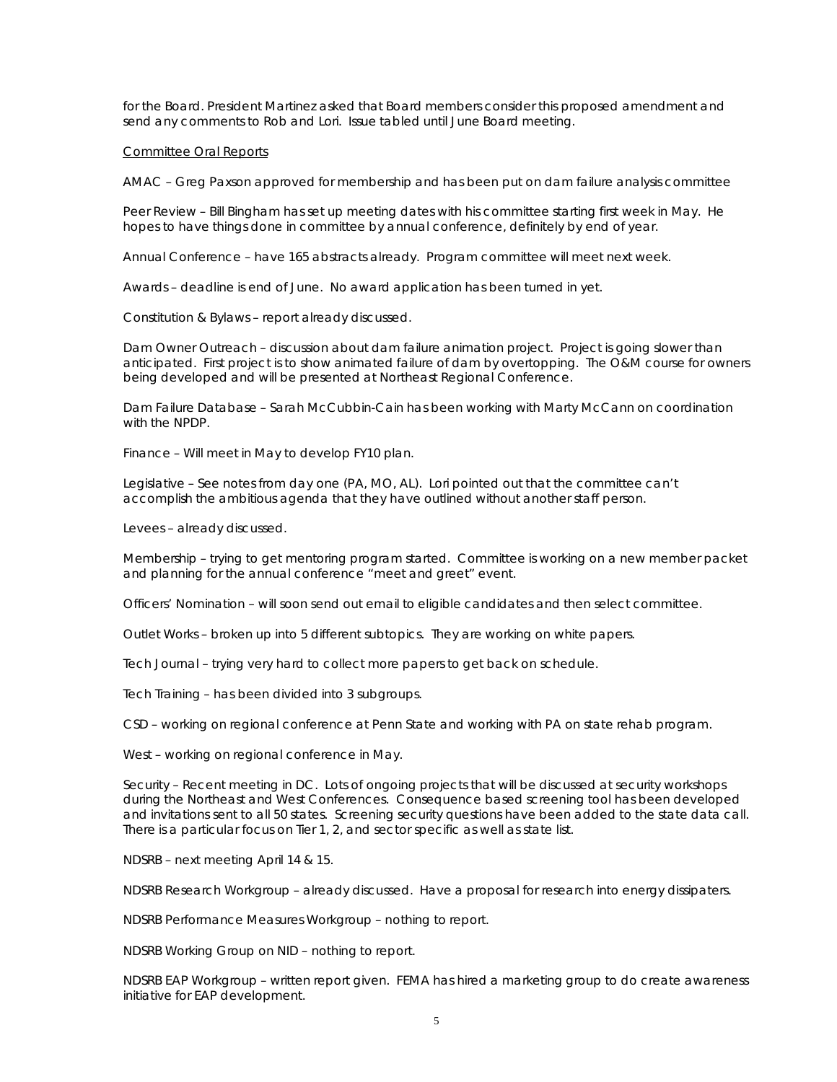for the Board. President Martinez asked that Board members consider this proposed amendment and send any comments to Rob and Lori. Issue tabled until June Board meeting.

#### Committee Oral Reports

AMAC – Greg Paxson approved for membership and has been put on dam failure analysis committee

Peer Review – Bill Bingham has set up meeting dates with his committee starting first week in May. He hopes to have things done in committee by annual conference, definitely by end of year.

Annual Conference – have 165 abstracts already. Program committee will meet next week.

Awards – deadline is end of June. No award application has been turned in yet.

Constitution & Bylaws – report already discussed.

Dam Owner Outreach – discussion about dam failure animation project. Project is going slower than anticipated. First project is to show animated failure of dam by overtopping. The O&M course for owners being developed and will be presented at Northeast Regional Conference.

Dam Failure Database – Sarah McCubbin-Cain has been working with Marty McCann on coordination with the NPDP.

Finance – Will meet in May to develop FY10 plan.

Legislative – See notes from day one (PA, MO, AL). Lori pointed out that the committee can't accomplish the ambitious agenda that they have outlined without another staff person.

Levees – already discussed.

Membership – trying to get mentoring program started. Committee is working on a new member packet and planning for the annual conference "meet and greet" event.

Officers' Nomination – will soon send out email to eligible candidates and then select committee.

Outlet Works – broken up into 5 different subtopics. They are working on white papers.

Tech Journal – trying very hard to collect more papers to get back on schedule.

Tech Training – has been divided into 3 subgroups.

CSD – working on regional conference at Penn State and working with PA on state rehab program.

West – working on regional conference in May.

Security – Recent meeting in DC. Lots of ongoing projects that will be discussed at security workshops during the Northeast and West Conferences. Consequence based screening tool has been developed and invitations sent to all 50 states. Screening security questions have been added to the state data call. There is a particular focus on Tier 1, 2, and sector specific as well as state list.

NDSRB – next meeting April 14 & 15.

NDSRB Research Workgroup – already discussed. Have a proposal for research into energy dissipaters.

NDSRB Performance Measures Workgroup – nothing to report.

NDSRB Working Group on NID – nothing to report.

NDSRB EAP Workgroup – written report given. FEMA has hired a marketing group to do create awareness initiative for EAP development.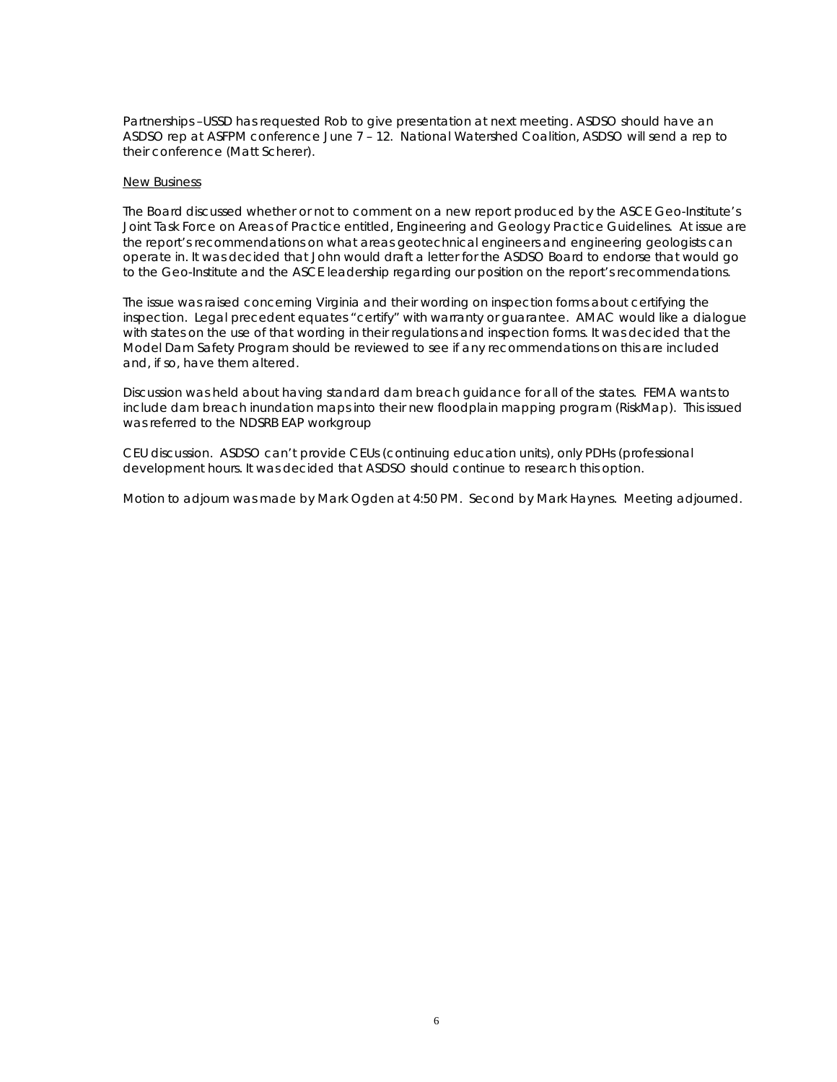Partnerships –USSD has requested Rob to give presentation at next meeting. ASDSO should have an ASDSO rep at ASFPM conference June 7 – 12. National Watershed Coalition, ASDSO will send a rep to their conference (Matt Scherer).

#### New Business

The Board discussed whether or not to comment on a new report produced by the ASCE Geo-Institute's Joint Task Force on Areas of Practice entitled, *Engineering and Geology Practice Guidelines*. At issue are the report's recommendations on what areas geotechnical engineers and engineering geologists can operate in. It was decided that John would draft a letter for the ASDSO Board to endorse that would go to the Geo-Institute and the ASCE leadership regarding our position on the report's recommendations.

The issue was raised concerning Virginia and their wording on inspection forms about certifying the inspection. Legal precedent equates "certify" with warranty or guarantee. AMAC would like a dialogue with states on the use of that wording in their regulations and inspection forms. It was decided that the Model Dam Safety Program should be reviewed to see if any recommendations on this are included and, if so, have them altered.

Discussion was held about having standard dam breach guidance for all of the states. FEMA wants to include dam breach inundation maps into their new floodplain mapping program (RiskMap). This issued was referred to the NDSRB EAP workgroup

CEU discussion. ASDSO can't provide CEUs (continuing education units), only PDHs (professional development hours. It was decided that ASDSO should continue to research this option.

Motion to adjourn was made by Mark Ogden at 4:50 PM. Second by Mark Haynes. Meeting adjourned.